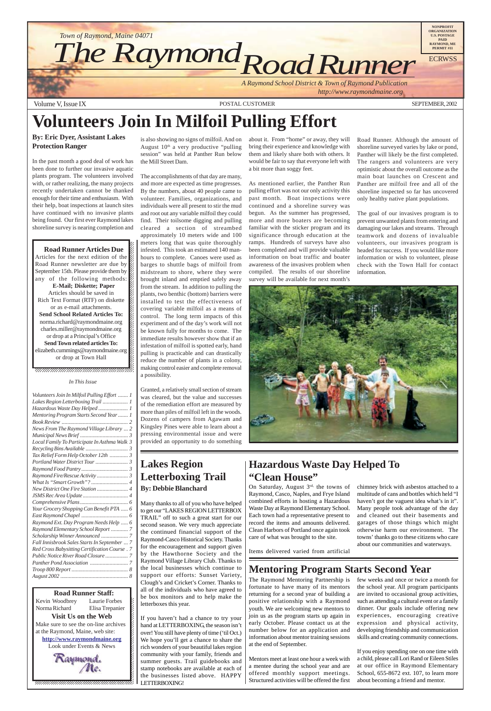Volume V, Issue IX POSTAL CUSTOMER SEPTEMBER, 2002





### 1 8 12345678901234567890123456789012123456789012345678 12345678901234567890123456789012123456789012345678

On Saturday, August 3rd, the towns of Raymond, Casco, Naples, and Frye Island combined efforts in hosting a Hazardous Waste Day at Raymond Elementary School. Each town had a representative present to record the items and amounts delivered. Clean Harbors of Portland once again took care of what was brought to the site.

# **Volunteers Join In Milfoil Pulling Effort**

#### **By: Eric Dyer, Assistant Lakes Protection Ranger**

In the past month a good deal of work has been done to further our invasive aquatic plants program. The volunteers involved with, or rather realizing, the many projects recently undertaken cannot be thanked enough for their time and enthusiasm. With their help, boat inspections at launch sites have continued with no invasive plants being found. Our first ever Raymond lakes shoreline survey is nearing completion and

12345678901234567890123456789012345678901234567890123456789012345678901234567890123456789012345678901234567890 12345678901234567890123456789012123456789012345678  $1235678901234567890123456789012345678901234567890123456789012345678901234567890123456789012345678901234567890123456789012345678901234567890123456789012345678901234567890123456789012345678901234567890123456789012345678901$ 

**Road Runner Articles Due** Articles for the next edition of the  $\mathscr{C}$  $1235678901234587890123456789012345678901234567890123456789012345678901234567890123456789012345678901234567890123456789012345678901234567890123456789012345678901234567890123456789012345678901234567890123456789012345678901$ Road Runner newsletter are due by  $\%$ September 15th. Please provide them by any of the following methods:  $\mathscr{L}$ **E-Mail; Diskette; Paper** 1234<del>5678012345678901234567890234578902345</del> Articles should be saved in  $1235678901234567890123456789012345678901234567890123456789012345678901234567890123456789012345678901234567890123456789012345678901234567890123456789012345678901234567890123456789012345678901234567890123456789012345678901$ Rich Text Format (RTF) on diskette  $\%$ or as e-mail attachments.  $1235678901234587890123456789012345678901234567890123456789012345678901234567890123456789012345678901234567890123456789012345678901234567890123456789012345678901234567890123456789012345678901234567890123456789012345678901$ **Send School Related Articles To:** norma.richard@raymondmaine.org charles.miller@raymondmaine.org or drop at a Principal's Office  $\mathbb{Z}$ 1234 Tuesday 1234 Tuesday 1234 Tuesday 1234 Tuesday 1234 Tuesday 1234 Tuesday 1234 Tuesday 1234 Tuesday 1234 Tu **Send Town related articles To:**  $1235678901234567890123456789012345678901234567890123456789012345678901234567890123456789012345678901234567890123456789012345678901234567890123456789012345678901234567890123456789012345678901234567890123456789012345678901$ elizabeth.cummings@raymondmaine.org or drop at Town Hall

is also showing no signs of milfoil. And on August  $10<sup>th</sup>$  a very productive "pulling" session" was held at Panther Run below the Mill Street Dam.

The accomplishments of that day are many, and more are expected as time progresses. By the numbers, about 40 people came to volunteer. Families, organizations, and individuals were all present to stir the mud and root out any variable milfoil they could find. Their toilsome digging and pulling cleared a section of streambed approximately 10 meters wide and 100 meters long that was quite thoroughly infested. This took an estimated 140 manhours to complete. Canoes were used as barges to shuttle bags of milfoil from midstream to shore, where they were brought inland and emptied safely away from the stream. In addition to pulling the plants, two benthic (bottom) barriers were installed to test the effectiveness of covering variable milfoil as a means of control. The long term impacts of this experiment and of the day's work will not be known fully for months to come. The immediate results however show that if an infestation of milfoil is spotted early, hand pulling is practicable and can drastically reduce the number of plants in a colony, making control easier and complete removal a possibility.

Granted, a relatively small section of stream was cleared, but the value and successes of the remediation effort are measured by more than piles of milfoil left in the woods. Dozens of campers from Agawam and Kingsley Pines were able to learn about a pressing environmental issue and were provided an opportunity to do something about it. From "home" or away, they will bring their experience and knowledge with them and likely share both with others. It would be fair to say that everyone left with a bit more than soggy feet.

As mentioned earlier, the Panther Run pulling effort was not our only activity this past month. Boat inspections were continued and a shoreline survey was begun. As the summer has progressed, more and more boaters are becoming familiar with the sticker program and its significance through education at the ramps. Hundreds of surveys have also been completed and will provide valuable information on boat traffic and boater awareness of the invasives problem when compiled. The results of our shoreline survey will be available for next month's

Road Runner. Although the amount of shoreline surveyed varies by lake or pond, Panther will likely be the first completed. The rangers and volunteers are very optimistic about the overall outcome as the main boat launches on Crescent and Panther are milfoil free and all of the shoreline inspected so far has uncovered only healthy native plant populations.

The goal of our invasives program is to prevent unwanted plants from entering and damaging our lakes and streams. Through teamwork and dozens of invaluable volunteers, our invasives program is headed for success. If you would like more information or wish to volunteer, please check with the Town Hall for contact information.



### **Mentoring Program Starts Second Year**

The Raymond Mentoring Partnership is fortunate to have many of its mentors returning for a second year of building a positive relationship with a Raymond youth. We are welcoming new mentors to join us as the program starts up again in early October. Please contact us at the number below for an application and information about mentor training sessions at the end of September.

Mentors meet at least one hour a week with a mentee during the school year and are offered monthly support meetings. Structured activities will be offered the first

few weeks and once or twice a month for the school year. All program participants are invited to occasional group activities, such as attending a cultural event or a family dinner. Our goals include offering new experiences, encouraging creative expression and physical activity, developing friendship and communication skills and creating community connections.

If you enjoy spending one on one time with a child, please call Lori Rand or Eileen Stiles at our office in Raymond Elementary School, 655-8672 ext. 107, to learn more about becoming a friend and mentor.

### **Hazardous Waste Day Helped To "Clean House"**

Items delivered varied from artificial

chimney brick with asbestos attached to a multitude of cans and bottles which held "I haven't got the vaguest idea what's in it". Many people took advantage of the day and cleaned out their basements and garages of those things which might otherwise harm our environment. The towns' thanks go to these citizens who care about our communities and waterways.

**1234567801234567890123456789121234567890121234567890123456789012345678901234567890123456789012345678** 12345678901234567890123456789012123456789012345678 Kevin Woodbrey Laurie Forbes  $\boldsymbol{\xi}$ Norma Richard Elisa Trepanier  $\blacksquare$ **Visit Us on the Web** 12345678901234567890123456789012123456789012345678 Make sure to see the on-line archives  $\mathcal{L}$ 12345678901234567890123456789012123456789012345678 at the Raymond, Maine, web site:  $\mathcal{L}$ **http://www.raymondmaine.org** 12345678901234567890123456789012123456789012345678 Look under Events & News  $\mathcal{L}$  $123$ 

### **Lakes Region Letterboxing Trail By: Debbie Blanchard**

Many thanks to all of you who have helped to get our "LAKES REGION LETTERBOX TRAIL" off to such a great start for our second season. We very much appreciate the continued financial support of the Raymond-Casco Historical Society. Thanks for the encouragement and support given by the Hawthorne Society and the Raymond Village Library Club. Thanks to the local businesses which continue to support our efforts: Sunset Variety, Clough's and Cricket's Corner. Thanks to all of the individuals who have agreed to be box monitors and to help make the letterboxes this year.

If you haven't had a chance to try your hand at LETTERBOXING, the season isn't over! You still have plenty of time ('til Oct.) We hope you'll get a chance to share the rich wonders of your beautiful lakes region community with your family, friends and summer guests. Trail guidebooks and stamp notebooks are available at each of the businesses listed above. HAPPY LETTERBOXING!

#### *In This Issue*

 $1235678901234587890123456789012345678901234567890123456789012345678901234567890123456789012345678901234567890123456789012345678901234567890123456789012345678901234567890123456789012345678901234567890123456789012345678901$  $1235678901234587890123456789012345678901234567890123456789012345678901234567890123456789012345678901234567890123456789012345678901234567890123456789012345678901234567890123456789012345678901234567890123456789012345678901$ 

| Volunteers Join In Milfoil Pulling Effort  1  |
|-----------------------------------------------|
|                                               |
| Hazardous Waste Day Helped  1                 |
| Mentoring Program Starts Second Year  1       |
|                                               |
| News From The Raymond Village Library  2      |
|                                               |
| Local Family To Participate In Asthma Walk 3  |
|                                               |
| Tax Relief Form Help October 12th  3          |
|                                               |
|                                               |
| Raymond Fire/Rescue Activity  3               |
|                                               |
|                                               |
| New District One Fire Station  4              |
|                                               |
|                                               |
| Your Grocery Shopping Can Benefit PTA  6      |
|                                               |
| Raymond Ext. Day Program Needs Help  6        |
| Raymond Elementary School Report  7           |
|                                               |
| Fall Innisbrook Sales Starts In September  7  |
| Red Cross Babysitting Certification Course. 7 |
| Public Notice River Road Closure  7           |
|                                               |
|                                               |
|                                               |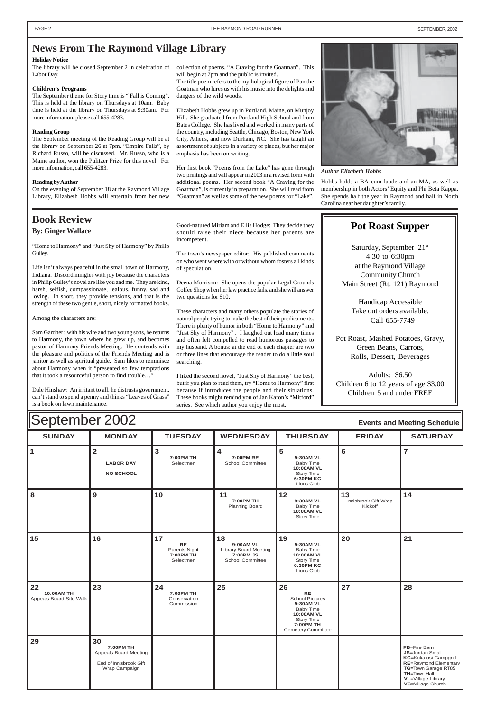#### $\blacksquare$   $\blacksquare$   $\blacksquare$   $\blacksquare$   $\blacksquare$   $\blacksquare$   $\blacksquare$   $\blacksquare$   $\blacksquare$   $\blacksquare$   $\blacksquare$   $\blacksquare$   $\blacksquare$   $\blacksquare$   $\blacksquare$   $\blacksquare$   $\blacksquare$   $\blacksquare$   $\blacksquare$   $\blacksquare$   $\blacksquare$   $\blacksquare$   $\blacksquare$   $\blacksquare$   $\blacksquare$   $\blacksquare$   $\blacksquare$   $\blacksquare$   $\blacksquare$   $\blacksquare$   $\blacksquare$   $\blacksquare$ **1 2 LABOR DAY NO SCHOOL 3 7:00PM TH** Selectmen **4 7:00PM RE** School Committee **5 9:30AM VL** Baby Time **10:00AM VL** Story Time **6:30PM KC** Lions Club **6 7** 8 | 9 | 10 | 11 **7:00PM TH** Planning Board **12 9:30AM VL** Baby Time **10:00AM VL** Story Time **13** Innisbrook Gift Wrap Kickoff **14** September 2002 **Events and Meeting Schedule**

| 15                                          | 16                                                                                         | 17<br><b>RE</b><br>Parents Night<br>7:00PM TH<br>Selectmen | 18<br>9:00AM VL<br><b>Library Board Meeting</b><br>7:00PM JS<br><b>School Committee</b> | 19<br>9:30AM VL<br>Baby Time<br>10:00AM VL<br>Story Time<br><b>6:30PM KC</b><br>Lions Club                                                       | 20 | 21                                                                                                                                                                                             |
|---------------------------------------------|--------------------------------------------------------------------------------------------|------------------------------------------------------------|-----------------------------------------------------------------------------------------|--------------------------------------------------------------------------------------------------------------------------------------------------|----|------------------------------------------------------------------------------------------------------------------------------------------------------------------------------------------------|
| 22<br>10:00AM TH<br>Appeals Board Site Walk | 23                                                                                         | 24<br>7:00PM TH<br>Conservation<br>Commission              | 25                                                                                      | 26<br><b>RE</b><br><b>School Pictures</b><br>9:30AM VL<br>Baby Time<br>10:00AM VL<br><b>Story Time</b><br>7:00PM TH<br><b>Cemetery Committee</b> | 27 | 28                                                                                                                                                                                             |
| 29                                          | 30<br>7:00PM TH<br><b>Appeals Board Meeting</b><br>End of Innisbrook Gift<br>Wrap Campaign |                                                            |                                                                                         |                                                                                                                                                  |    | FB=Fire Barn<br>JS=Jordan-Small<br><b>KC=Kokatosi Campgnd</b><br><b>RE=Raymond Elementary</b><br>TG=Town Garage RT85<br><b>TH=Town Hall</b><br><b>VL</b> =Village Library<br>VC=Village Church |

### <span id="page-1-0"></span>**News From The Raymond Village Library**

#### **Holiday Notice**

The library will be closed September 2 in celebration of collection of poems, "A Craving for the Goatman". This Labor Day.

#### **Children's Programs**

The September theme for Story time is " Fall is Coming". This is held at the library on Thursdays at 10am. Baby time is held at the library on Thursdays at 9:30am. For more information, please call 655-4283.

#### **Reading Group**

The September meeting of the Reading Group will be at the library on September 26 at 7pm. "Empire Falls", by Richard Russo, will be discussed. Mr. Russo, who is a Maine author, won the Pulitzer Prize for this novel. For more information, call 655-4283.

#### **Reading by Author**

On the evening of September 18 at the Raymond Village Library, Elizabeth Hobbs will entertain from her new will begin at 7pm and the public is invited.

The title poem refers to the mythological figure of Pan the Goatman who lures us with his music into the delights and dangers of the wild woods.

Elizabeth Hobbs grew up in Portland, Maine, on Munjoy Hill. She graduated from Portland High School and from Bates College. She has lived and worked in many parts of the country, including Seattle, Chicago, Boston, New York City, Athens, and now Durham, NC. She has taught an assortment of subjects in a variety of places, but her major emphasis has been on writing.

> Saturday, September 21<sup>st</sup> 4:30 to 6:30pm at the Raymond Village Community Church Main Street (Rt. 121) Raymond

Her first book "Poems from the Lake" has gone through two printings and will appear in 2003 in a revised form with additional poems. Her second book "A Craving for the Goatman", is currently in preparation. She will read from "Goatman" as well as some of the new poems for "Lake".

### **Book Review**

**By: Ginger Wallace**

"Home to Harmony" and "Just Shy of Harmony" by Philip Gulley.

Life isn't always peaceful in the small town of Harmony, Indiana. Discord mingles with joy because the characters in Philip Gulley's novel are like you and me. They are kind, harsh, selfish, compassionate, jealous, funny, sad and loving. In short, they provide tensions, and that is the strength of these two gentle, short, nicely formatted books.

Among the characters are:

Sam Gardner: with his wife and two young sons, he returns to Harmony, the town where he grew up, and becomes pastor of Harmony Friends Meeting. He contends with the pleasure and politics of the Friends Meeting and is janitor as well as spiritual guide. Sam likes to reminisce about Harmony when it "presented so few temptations that it took a resourceful person to find trouble…"

Dale Hinshaw: An irritant to all, he distrusts government, can't stand to spend a penny and thinks "Leaves of Grass" is a book on lawn maintenance.

Good-natured Miriam and Ellis Hodge: They decide they should raise their niece because her parents are incompetent.

The town's newspaper editor: His published comments on who went where with or without whom fosters all kinds of speculation.

Deena Morrison: She opens the popular Legal Grounds Coffee Shop when her law practice fails, and she will answer two questions for \$10.

These characters and many others populate the stories of natural people trying to make the best of their predicaments. There is plenty of humor in both "Home to Harmony" and "Just Shy of Harmony" . I laughed out load many times and often felt compelled to read humorous passages to my husband. A bonus: at the end of each chapter are two or three lines that encourage the reader to do a little soul searching.

I liked the second novel, "Just Shy of Harmony" the best, but if you plan to read them, try "Home to Harmony" first because if introduces the people and their situations. These books might remind you of Jan Karon's "Mitford" series. See which author you enjoy the most.



*Author Elizabeth Hobbs*

Hobbs holds a BA cum laude and an MA, as well as membership in both Actors' Equity and Phi Beta Kappa. She spends half the year in Raymond and half in North Carolina near her daughter's family.

### **Pot Roast Supper**

Handicap Accessible Take out orders available. Call 655-7749

Pot Roast, Mashed Potatoes, Gravy, Green Beans, Carrots, Rolls, Dessert, Beverages

Adults: \$6.50 Children 6 to 12 years of age \$3.00 Children 5 and under FREE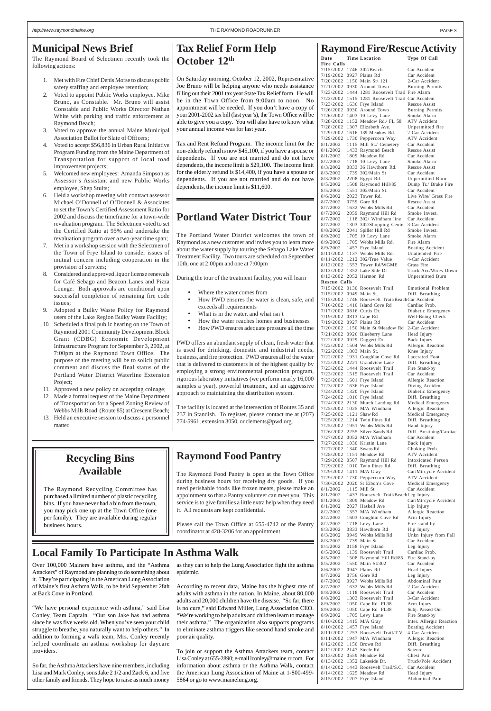### **Raymond Food Pantry**

The Raymond Food Pantry is open at the Town Office during business hours for receiving dry goods. If you need perishable foods like frozen meats, please make an appointment so that a Pantry volunteer can meet you. This service is to give families a little extra help when they need it. All requests are kept confidential.

Please call the Town Office at 655-4742 or the Pantry coordinator at 428-3206 for an appointment.

### **Recycling Bins Available**

The Raymond Recycling Committee has purchased a limited number of plastic recycling bins. If you have never had a bin from the town, you may pick one up at the Town Office (one per family). They are available during regular business hours.

### <span id="page-2-0"></span>**Municipal News Brief**

The Raymond Board of Selectmen recently took the following actions:

- 1. Met with Fire Chief Denis Morse to discuss public safety staffing and employee retention;
- 2. Voted to appoint Public Works employee, Mike Bruno, as Constable. Mr. Bruno will assist Constable and Public Works Director Nathan White with parking and traffic enforcement at Raymond Beach;
- 3. Voted to approve the annual Maine Municipal Association Ballot for Slate of Officers;
- 4. Voted to accept \$56,836 in Urban Rural Initiative Program Funding from the Maine Department of Transportation for support of local road improvement projects;
- 5. Welcomed new employees: Amanda Simpson as Assessor's Assistant and new Public Works employee, Shep Stults;
- 6. Held a workshop meeting with contract assessor Michael O'Donnell of O'Donnell & Associates to set the Town's Certified Assessment Ratio for 2002 and discuss the timeframe for a town-wide revaluation program. The Selectmen voted to set the Certified Ratio at 95% and undertake the revaluation program over a two-year time span;
- 7. Met in a workshop session with the Selectmen of the Town of Frye Island to consider issues of mutual concern including cooperation in the provision of services;
- 8. Considered and approved liquor license renewals for Café Sebago and Beacon Lanes and Pizza Lounge. Both approvals are conditional upon successful completion of remaining fire code issues;
- 9. Adopted a Bulky Waste Policy for Raymond users of the Lake Region Bulky Waste Facility;
- 10. Scheduled a final public hearing on the Town of Raymond 2001 Community Development Block Grant (CDBG) Economic Development Infrastructure Program for September 3, 2002, at 7:00pm at the Raymond Town Office. The purpose of the meeting will be to solicit public comment and discuss the final status of the Portland Water District Waterline Extension Project;
- 11. Approved a new policy on accepting coinage;
- 12. Made a formal request of the Maine Department of Transportation for a Speed Zoning Review of Webbs Mills Road (Route 85) at Crescent Beach;
- 13. Held an executive session to discuss a personnel matter.
- Where the water comes from
- How PWD ensures the water is clean, safe, and exceeds all requirements
- What is in the water, and what isn't
- How the water reaches homes and businesses
- How PWD ensures adequate pressure all the time

### **Tax Relief Form Help October 12th**

On Saturday morning, October 12, 2002, Representative Joe Bruno will be helping anyone who needs assistance filling out their 2001 tax year State Tax Relief form. He will be in the Town Office from 9:00am to noon. No appointment will be needed. If you don't have a copy of your 2001-2002 tax bill (last year's), the Town Office will be able to give you a copy. You will also have to know what your annual income was for last year.

Tax and Rent Refund Program. The income limit for the non-elderly refund is now \$45,100, if you have a spouse or dependents. If you are not married and do not have dependents, the income limit is \$29,100. The income limit for the elderly refund is \$14,400, if you have a spouse or dependents. If you are not married and do not have dependents, the income limit is \$11,600.

### **Portland Water District Tour**

The Portland Water District welcomes the town of Raymond as a new customer and invites you to learn more about the water supply by touring the Sebago Lake Water Treatment Facility. Two tours are scheduled on September 10th, one at 2:00pm and one at 7:00pm

During the tour of the treatment facility, you will learn

PWD offers an abundant supply of clean, fresh water that is used for drinking, domestic and industrial needs, business, and fire protection. PWD ensures all of the water that is delivered to customers is of the highest quality by employing a strong environmental protection program, rigorous laboratory initiatives (we perform nearly 16,000 samples a year), powerful treatment, and an aggressive approach to maintaining the distribution system.

The facility is located at the intersection of Routes 35 and 237 in Standish. To register, please contact me at (207) 774-5961, extension 3050, or clements@pwd.org.

### **Local Family To Participate In Asthma Walk**

Over 100,000 Mainers have asthma, and the "Asthma Attackers" of Raymond are planning to do something about it. They're participating in the American Lung Association of Maine's first Asthma Walk, to be held September 28th at Back Cove in Portland.

"We have personal experience with asthma," said Lisa Conley, Team Captain. "Our son Jake has had asthma since he was five weeks old. When you've seen your child struggle to breathe, you naturally want to help others." In addition to forming a walk team, Mrs. Conley recently helped coordinate an asthma workshop for daycare providers.

So far, the Asthma Attackers have nine members, including Lisa and Mark Conley, sons Jake 2 1/2 and Zack 6, and five other family and friends. They hope to raise as much money

as they can to help the Lung Association fight the asthma epidemic.

According to recent data, Maine has the highest rate of adults with asthma in the nation. In Maine, about 80,000 adults and 20,000 children have the disease. "So far, there is no cure," said Edward Miller, Lung Association CEO. "We're working to help adults and children learn to manage their asthma." The organization also supports programs to eliminate asthma triggers like second hand smoke and poor air quality.

To join or support the Asthma Attackers team, contact Lisa Conley at 655-2890; e-mail lconley@maine.rr.com. For information about asthma or the Asthma Walk, contact the American Lung Association of Maine at 1-800-499- 5864 or go to www.mainelung.org.

### **Raymond Fire/Rescue Activity**

| Date                                          | <b>Time Location</b>                                                              | <b>Type Of Call</b>                          |
|-----------------------------------------------|-----------------------------------------------------------------------------------|----------------------------------------------|
| <b>Fire Calls</b><br>7/15/2002 1746 302/Beach |                                                                                   | Car Accident                                 |
| 7/19/2002 0927 Plains Rd                      |                                                                                   | Car Accident                                 |
|                                               | 7/20/2002 1150 Main St/ 121                                                       | 2-Car Accident                               |
|                                               | 7/21/2002 0930 Around Town<br>7/23/2002 1444 1281 Roosevelt Trail Fire Alarm      | <b>Burning Permits</b>                       |
|                                               | 7/23/2002 1515 1281 Roosevelt Trail Car Accident                                  |                                              |
|                                               | 7/23/2002 1636 Frye Island                                                        | <b>Rescue Assist</b>                         |
| 7/26/2002<br>7/26/2002                        | 0930 Around Town<br>1403 10 Levy Lane                                             | <b>Burning Permits</b><br>Smoke Alarm        |
|                                               | 7/28/2002 1152 Meadow Rd./ FL 58                                                  | <b>ATV</b> Accident                          |
|                                               | 7/28/2002 1307 Elizabeth Ave.                                                     | Unpermitted fire                             |
| 7/29/2002                                     | 7/29/2002 1616 139 Meadow Rd.<br>1730 Peppercorn Way                              | 2-Car Accident<br><b>ATV</b> Accident        |
| 8/1/2002                                      | 1115 Mill St./ Cemetery                                                           | Car Accident                                 |
| 8/1/2002                                      | 1433 Raymond Beach                                                                | <b>Rescue Assist</b>                         |
| 8/1/2002<br>8/2/2002                          | 1809 Meadow Rd.<br>1718 10 Levy Lane                                              | Car Accident<br>Smoke Alarm                  |
| 8/3/2002                                      | 0833 36 Hawthorn Rd.                                                              | <b>Rescue Assist</b>                         |
| 8/3/2002                                      | 1739 302/Main St                                                                  | Car Accident                                 |
| 8/3/2002<br>8/5/2002                          | 2208 Egypt Rd.<br>1508 Raymond Hill/85                                            | Unpermitted Burn<br>Dump Tr./ Brake Fire     |
| 8/5/2002                                      | 1551 302/Main St.                                                                 | Car Accident                                 |
| 8/6/2002                                      | 2023 Tower Rd.                                                                    | Live Wire/ Grass Fire                        |
| 8/7/2002<br>8/7/2002                          | 0759 Gore Rd<br>1632 Webbs Mills Rd                                               | <b>Rescue Assist</b><br>Car Accident         |
| 8/7/2002                                      | 2059 Raymond Hill Rd                                                              | Smoke Invest.                                |
| 8/7/2002                                      | 1118 302/ Windham line                                                            | Car Accident                                 |
| 8/7/2002<br>8/8/2002                          | 1303 302/Shopping Center 3-Car Accident<br>2041 Spiller Hill Rd                   | Smoke Invest.                                |
| 8/9/2002                                      | 1705 10 Levy Lane                                                                 | Smoke Alarm                                  |
|                                               | 8/9/2002 1705 Webbs Mills Rd.                                                     | Fire Alarm                                   |
| 8/9/2002                                      | 1457 Frye Island                                                                  | Boating Accident<br>Unattended Fire          |
|                                               | 8/11/2002 1137 Webbs Mills Rd.<br>8/11/2002 1212 302/True Value                   | 4-Car Accident                               |
|                                               | 8/12/2002 1553 Tower Rd/WGME                                                      | Grass Fire                                   |
|                                               | 8/13/2002 1352 Lake Side Dr                                                       | Truck Acc/Wires Down                         |
| Rescue Calls                                  | 8/13/2002 2052 Harmon Rd                                                          | Unpermitted Burn                             |
|                                               | 7/15/2002 0130 Roosevelt Trail                                                    | Emotional Problem                            |
| 7/15/2002 0949 Main St.                       |                                                                                   | Diff. Breathing                              |
|                                               | 7/15/2002 1746 Roosevelt Trail/BeachCar Accident<br>7/16/2002 1410 Island Cove Rd | Cardiac Prob.                                |
| 7/17/2002 0816 Curtis Dr.                     |                                                                                   | Diabetic Emergency                           |
| 7/19/2002 0813 Cape Rd                        |                                                                                   | Well-Being Check                             |
| 7/19/2002 0927 Plains Rd                      | 7/20/2002 1150 Main St./Meadow Rd                                                 | Car Accident<br>2-Car Accident               |
| 7/21/2002                                     | 0926 Blueberry Lane                                                               | Head Injury                                  |
| 7/22/2002                                     | 0929 Daggett Dr                                                                   | Back Injury                                  |
| 7/22/2002<br>7/22/2002                        | 1504 Webbs Mills Rd<br>1803 Main St.                                              | Allergic Reaction<br>Knee Injury             |
|                                               | 7/22/2002 1931 Coughlan Cove Rd                                                   | Lacerated Foot                               |
| 7/22/2002                                     | 2221 Grandview Lane                                                               | Diff. Breathing                              |
| 7/23/2002<br>7/23/2002                        | 1444 Roosevelt Trail<br>1515 Roosevelt Trail                                      | Fire Stand-by<br>Car Accident                |
| 7/23/2002                                     | 1601 Frye Island                                                                  | Allergic Reaction                            |
| 7/23/2002                                     | 1636 Frye Island                                                                  | Diving Accident                              |
| 7/24/2002<br>7/24/2002                        | 1320 Frye Island<br>1816 Frye Island                                              | Diabetic Emergency<br>Diff. Breathing        |
| 7/24/2002                                     | 2130 Murch Landing Rd                                                             | Medical Emergency                            |
| 7/25/2002                                     | 1025 M/A Windham                                                                  | Allergic Reaction                            |
| 7/25/2002                                     | 1121 Shaw Rd<br>7/25/2002 1214 Twin Pines Rd                                      | Medical Emergency<br>Diff. Breathing         |
| 7/25/2002                                     | 1951 Webbs Mills Rd                                                               | Hand Injury                                  |
| 7/26/2002                                     | 2255 Silver Sands Rd                                                              | Diff. Breathing/Cardiac                      |
| 7/27/2002<br>7/27/2002                        | 0052 M/A Windham<br>1030 Kristin Lane                                             | Car Accident<br>Back Injury                  |
| 7/27/2002 1340 Swans Rd                       |                                                                                   | Choking Prob.                                |
| 7/28/2002                                     | 1151 Meadow Rd                                                                    | <b>ATV</b> Accident                          |
| 7/29/2002<br>7/29/2002                        | 0507 Raymond Hill Rd<br>1010 Twin Pines Rd                                        | <b>Intoxicated Person</b><br>Diff. Breathing |
| 7/29/2002                                     | 1411 M/A Gray                                                                     | Car/Mtrcycle Accident                        |
| 7/29/2002                                     | 1730 Peppercorn Way                                                               | <b>ATV</b> Accident                          |
| 7/30/2002<br>8/1/2002                         | 2020 St Eiboh's Cove<br>1115 Mill St                                              | Medical Emergency<br>Car Accident            |
| 8/1/2002                                      | 1433 Roosevelt Trail/BeachLeg Injury                                              |                                              |
| 8/1/2002                                      | 1809 Meadow Rd                                                                    | Car/Mtrcycle Accident                        |
| 8/1/2002<br>8/2/2002                          | 2027 Haskell Ave<br>1357 M/A Windham                                              | Lip Injury<br>Allergic Reaction              |
| 8/2/2002                                      | 1603 Coughlin Cove Rd                                                             | Arm Injury                                   |
| 8/2/2002                                      | 1718 Levy Lane                                                                    | Fire stand-by                                |
| 8/3/2002<br>8/3/2002                          | 0833 Hawthorn Rd<br>0949 Webbs Mills Rd                                           | Hip Injury<br>Unkn Injury from Fall          |
| 8/3/2002                                      | 1739 Main St                                                                      | Car Accident                                 |
| 8/4/2002                                      | 0158 Frye Island                                                                  | Leg Injury                                   |
| 8/5/2002                                      | 1139 Roosevelt Trail                                                              | Cardiac Prob.<br>Fire Stand-by               |
| 8/5/2002<br>8/5/2002                          | 1508 Raymond Hill Rd/85<br>1550 Main St/302                                       | Car Accident                                 |
| 8/6/2002                                      | 0947 Plains Rd                                                                    | Head Injury                                  |
| 8/7/2002                                      | 0756 Gore Rd                                                                      | Leg Injury                                   |
| 8/7/2002<br>8/7/2002                          | 0927 Webbs Mills Rd<br>1632 Webbs Mills Rd                                        | Abdominal Pain<br>2-Car Accident             |
| 8/8/2002                                      | 1118 Roosevelt Trail                                                              | Car Accident                                 |
| 8/8/2002                                      | 1303 Roosevelt Trail                                                              | 3-Car Accident                               |
| 8/9/2002<br>8/9/2002                          | 1050 Cape Rd FL38<br>1050 Cape Rd FL38                                            | Arm Injury<br>Subj. Passed Out               |
| 8/9/2002                                      | 1705 Levy Lane                                                                    | Fire Stand-by                                |
| 8/10/2002                                     | 1415 M/A Gray                                                                     | Inter. Allergic Reaction                     |
| 8/10/2002<br>8/11/2002                        | 1457 Frye Island<br>1253 Roosevelt Trail/T.V.                                     | Boating Accident<br>4-Car Accident           |
| 8/11/2002                                     | 1947 M/A Windham                                                                  | Allergic Reaction                            |
| 8/12/2002                                     | 1150 Brown Rd                                                                     | Diff. Breathing<br>Seizure                   |
| 8/12/2002<br>8/13/2002                        | 2147 Steele Rd<br>0559 Meadow Rd                                                  | Chest Pain                                   |
| 8/13/2002                                     | 1352 Lakeside Dr.                                                                 | Truck/Pole Accident                          |
| 8/14/2002                                     | 1443 Roosevelt Trail/S.C.                                                         | Car Accident                                 |
| 8/14/2002<br>8/15/2002                        | 1625 Meadow Rd<br>1207 Frye Island                                                | Head Injury<br>Abdominal Pain                |
|                                               |                                                                                   |                                              |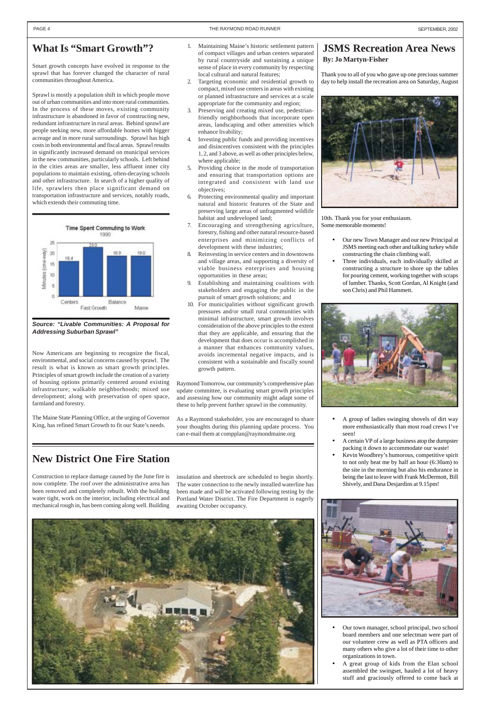#### <span id="page-3-0"></span>PAGE 4 SEPTEMBER, 2002

### **What Is "Smart Growth"?**

Smart growth concepts have evolved in response to the sprawl that has forever changed the character of rural communities throughout America.

Sprawl is mostly a population shift in which people move out of urban communities and into more rural communities. In the process of these moves, existing community infrastructure is abandoned in favor of constructing new, redundant infrastructure in rural areas. Behind sprawl are people seeking new, more affordable homes with bigger acreage and in more rural surroundings. Sprawl has high costs in both environmental and fiscal areas. Sprawl results in significantly increased demand on municipal services in the new communities, particularly schools. Left behind in the cities areas are smaller, less affluent inner city populations to maintain existing, often-decaying schools and other infrastructure. In search of a higher quality of life, sprawlers then place significant demand on transportation infrastructure and services, notably roads, which extends their commuting time.



#### **Source: "Livable Communities: A Proposal for Addressing Suburban Sprawl"**

Now Americans are beginning to recognize the fiscal, environmental, and social concerns caused by sprawl. The result is what is known as smart growth principles. Principles of smart growth include the creation of a variety of housing options primarily centered around existing infrastructure; walkable neighborhoods; mixed use development; along with preservation of open space, farmland and forestry.

The Maine State Planning Office, at the urging of Governor King, has refined Smart Growth to fit our State's needs.

- 1. Maintaining Maine's historic settlement pattern of compact villages and urban centers separated by rural countryside and sustaining a unique sense of place in every community by respecting local cultural and natural features;
- 2. Targeting economic and residential growth to compact, mixed use centers in areas with existing or planned infrastructure and services at a scale appropriate for the community and region;
- 3. Preserving and creating mixed use, pedestrianfriendly neighborhoods that incorporate open areas, landscaping and other amenities which enhance livability;
- 4. Investing public funds and providing incentives and disincentives consistent with the principles 1, 2, and 3 above, as well as other principles below, where applicable;
- 5. Providing choice in the mode of transportation and ensuring that transportation options are integrated and consistent with land use objectives;
- 6. Protecting environmental quality and important natural and historic features of the State and preserving large areas of unfragmented wildlife habitat and undeveloped land;
- 7. Encouraging and strengthening agriculture, forestry, fishing and other natural resource-based enterprises and minimizing conflicts of development with these industries;
- 8. Reinvesting in service centers and in downtowns and village areas, and supporting a diversity of viable business enterprises and housing opportunities in these areas;
- 9. Establishing and maintaining coalitions with stakeholders and engaging the public in the pursuit of smart growth solutions; and
- 10. For municipalities without significant growth pressures and/or small rural communities with minimal infrastructure, smart growth involves consideration of the above principles to the extent that they are applicable, and ensuring that the development that does occur is accomplished in a manner that enhances community values, avoids incremental negative impacts, and is consistent with a sustainable and fiscally sound growth pattern.

Raymond Tomorrow, our community's comprehensive plan update committee, is evaluating smart growth principles and assessing how our community might adapt some of these to help prevent further sprawl in the community.

As a Raymond stakeholder, you are encouraged to share your thoughts during this planning update process. You can e-mail them at compplan@raymondmaine.org

### **JSMS Recreation Area News By: Jo Martyn-Fisher**

Thank you to all of you who gave up one precious summer day to help install the recreation area on Saturday, August



10th. Thank you for your enthusiasm. Some memorable moments!

- Our new Town Manager and our new Principal at JSMS meeting each other and talking turkey while constructing the chain climbing wall.
- Three individuals, each individually skilled at constructing a structure to shore up the tables for pouring cement, working together with scraps of lumber. Thanks, Scott Gordan, Al Knight (and son Chris) and Phil Hammett.



- A group of ladies swinging shovels of dirt way more enthusiastically than most road crews I've seen!
- A certain VP of a large business atop the dumpster packing it down to accommodate our waste!
- Kevin Woodbrey's humorous, competitive spirit to not only beat me by half an hour (6:30am) to the site in the morning but also his endurance in being the last to leave with Frank McDermott, Bill Shively, and Dana Desjardins at 9.15pm!





- Our town manager, school principal, two school board members and one selectman were part of our volunteer crew as well as PTA officers and many others who give a lot of their time to other organizations in town.
- A great group of kids from the Elan school assembled the swingset, hauled a lot of heavy stuff and graciously offered to come back at

### **New District One Fire Station**

Construction to replace damage caused by the June fire is now complete. The roof over the administrative area has been removed and completely rebuilt. With the building water tight, work on the interior, including electrical and mechanical rough in, has been coming along well. Building

insulation and sheetrock are scheduled to begin shortly. The water connection to the newly installed waterline has been made and will be activated following testing by the Portland Water District. The Fire Department is eagerly awaiting October occupancy.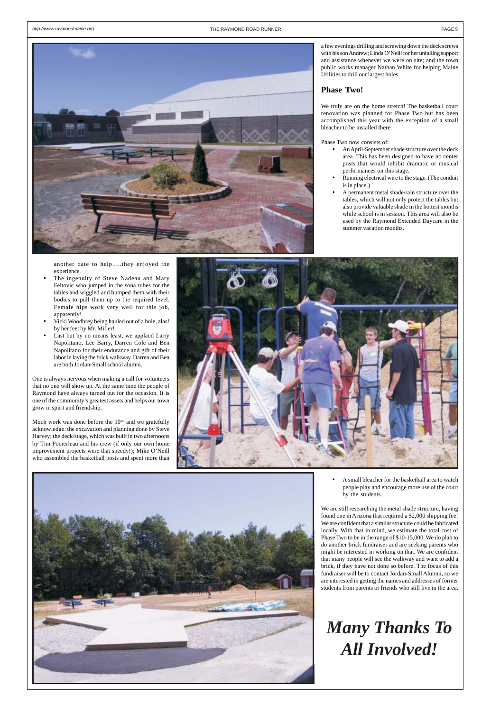

another date to help.....they enjoyed the experience.

- The ingenuity of Steve Nadeau and Mary Feltovic who jumped in the sona tubes for the tables and wiggled and bumped them with their bodies to pull them up to the required level. Female hips work very well for this job, apparently!
- Vicki Woodbrey being hauled out of a hole, alas! by her feet by Mr. Miller!
- Last but by no means least, we applaud Larry Napolitano, Lee Barry, Darren Cole and Ben Napolitano for their endurance and gift of their labor in laying the brick walkway. Darren and Ben are both Jordan-Small school alumni.

Much work was done before the  $10<sup>th</sup>$ , and we gratefully acknowledge: the excavation and planning done by Steve Harvey; the deck/stage, which was built in two afternoons by Tim Pomerleau and his crew (if only our own home improvement projects were that speedy!); Mike O'Neill who assembled the basketball posts and spent more than





One is always nervous when making a call for volunteers that no one will show up. At the same time the people of Raymond have always turned out for the occasion. It is one of the community's greatest assets and helps our town grow in spirit and friendship.

a few evenings drilling and screwing down the deck screws with his son Andrew; Linda O'Neill for her unfailing support and assistance whenever we were on site; and the town public works manager Nathan White for helping Maine Utilities to drill our largest holes.

#### **Phase Two!**

We truly are on the home stretch! The basketball court renovation was planned for Phase Two but has been accomplished this year with the exception of a small bleacher to be installed there.

Phase Two now consists of:

- An April-September shade structure over the deck area. This has been designed to have no center posts that would inhibit dramatic or musical performances on this stage.
- Running electrical wire to the stage. (The conduit is in place.)
- A permanent metal shade/rain structure over the tables, which will not only protect the tables but also provide valuable shade in the hottest months while school is in session. This area will also be used by the Raymond Extended Daycare in the summer vacation months.

• A small bleacher for the basketball area to watch people play and encourage more use of the court by the students.

We are still researching the metal shade structure, having found one in Arizona that required a \$2,000 shipping fee! We are confident that a similar structure could be fabricated locally. With that in mind, we estimate the total cost of Phase Two to be in the range of \$10-15,000. We do plan to do another brick fundraiser and are seeking parents who might be interested in working on that. We are confident that many people will see the walkway and want to add a brick, if they have not done so before. The focus of this fundraiser will be to contact Jordan-Small Alumni, so we are interested in getting the names and addresses of former students from parents or friends who still live in the area.

## *Many Thanks To All Involved!*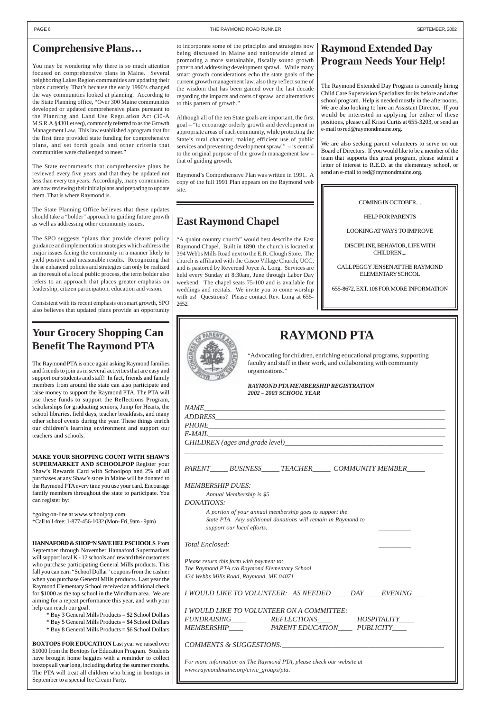### **East Raymond Chapel**

"A quaint country church" would best describe the East Raymond Chapel. Built in 1890, the church is located at 394 Webbs Mills Road next to the E.R. Clough Store. The church is affiliated with the Casco Village Church, UCC, and is pastored by Reverend Joyce A. Long. Services are held every Sunday at 8:30am, June through Labor Day weekend. The chapel seats 75-100 and is available for weddings and recitals. We invite you to come worship with us! Questions? Please contact Rev. Long at 655- 2652.

#### COMING IN OCTOBER....

HELP FOR PARENTS

LOOKING AT WAYS TO IMPROVE

DISCIPLINE, BEHAVIOR, LIFE WITH CHILDREN....

CALL PEGGY JENSEN AT THE RAYMOND ELEMENTARY SCHOOL

655-8672, EXT. 108 FOR MORE INFORMATION



## **RAYMOND PTA**

"Advocating for children, enriching educational programs, supporting faculty and staff in their work, and collaborating with community organizations."

*RAYMOND PTA MEMBERSHIP REGISTRATION 2002 – 2003 SCHOOL YEAR*

*ADDRESS\_\_\_\_\_\_\_\_\_\_\_\_\_\_\_\_\_\_\_\_\_\_\_\_\_\_\_\_\_\_\_\_\_\_\_\_\_\_\_\_\_\_\_\_\_\_\_\_\_\_\_\_\_\_\_\_\_\_\_\_\_\_\_\_*

*PHONE\_\_\_\_\_\_\_\_\_\_\_\_\_\_\_\_\_\_\_\_\_\_\_\_\_\_\_\_\_\_\_\_\_\_\_\_\_\_\_\_\_\_\_\_\_\_\_\_\_\_\_\_\_\_\_\_\_\_\_\_\_\_\_\_\_\_*

*E-MAIL\_\_\_\_\_\_\_\_\_\_\_\_\_\_\_\_\_\_\_\_\_\_\_\_\_\_\_\_\_\_\_\_\_\_\_\_\_\_\_\_\_\_\_\_\_\_\_\_\_\_\_\_\_\_\_\_\_\_\_\_\_\_\_\_\_\_*

*CHILDREN (ages and grade level)\_\_\_\_\_\_\_\_\_\_\_\_\_\_\_\_\_\_\_\_\_\_\_\_\_\_\_\_\_\_\_\_\_\_\_\_\_\_\_\_\_\_\_\_*

*\_\_\_\_\_\_\_\_\_\_\_\_\_\_\_\_\_\_\_\_\_\_\_\_\_\_\_\_\_\_\_\_\_\_\_\_\_\_\_\_\_\_\_\_\_\_\_\_\_\_\_\_\_\_\_\_\_\_\_\_\_\_\_\_\_\_\_\_\_\_\_\_*

*PARENT\_\_\_\_\_ BUSINESS\_\_\_\_\_ TEACHER\_\_\_\_\_ COMMUNITY MEMBER\_\_\_\_\_*

*MEMBERSHIP DUES:*

*Annual Membership is \$5 \_\_\_\_\_\_\_\_\_*

*DONATIONS:*

*A portion of your annual membership goes to support the State PTA. Any additional donations will remain in Raymond to support our local efforts. \_\_\_\_\_\_\_\_\_*

### **Your Grocery Shopping Can Benefit The Raymond PTA**

The Raymond PTA is once again asking Raymond families and friends to join us in several activities that are easy and support our students and staff! In fact, friends and family members from around the state can also participate and raise money to support the Raymond PTA. The PTA will use these funds to support the Reflections Program, scholarships for graduating seniors, Jump for Hearts, the school libraries, field days, teacher breakfasts, and many other school events during the year. These things enrich our children's learning environment and support our teachers and schools.

| <b>HANNAFORD &amp; SHOP 'N SAVE HELPSCHOOLS. From</b>        | Total Enclosed:                                                      |
|--------------------------------------------------------------|----------------------------------------------------------------------|
| September through November Hannaford Supermarkets            |                                                                      |
| will support local K - 12 schools and reward their customers | Please return this form with payment to:                             |
| who purchase participating General Mills products. This      | The Raymond PTA c/o Raymond Elementary School                        |
| fall you can earn "School Dollar" coupons from the cashier   |                                                                      |
| when you purchase General Mills products. Last year the      | 434 Webbs Mills Road, Raymond, ME 04071                              |
| Raymond Elementary School received an additional check       |                                                                      |
| for \$1000 as the top school in the Windham area. We are     | I WOULD LIKE TO VOLUNTEER: AS NEEDED____ DAY____ EVENING___          |
| aiming for a repeat performance this year, and with your     |                                                                      |
| help can reach our goal.                                     | I WOULD LIKE TO VOLUNTEER ON A COMMITTEE:                            |
| * Buy 3 General Mills Products = \$2 School Dollars          | <i>FUNDRAISING</i> ___<br><i>REFLECTIONS</i><br>HOSPITALITY          |
| * Buy 5 General Mills Products = \$4 School Dollars          |                                                                      |
| * Buy 8 General Mills Products = \$6 School Dollars          | <b>MEMBERSHIP</b><br>PARENT EDUCATION PUBLICITY                      |
| <b>BOXTOPS FOR EDUCATION</b> Last year we raised over        |                                                                      |
| \$1000 from the Boxtops for Education Program. Students      | COMMENTS & SUGGESTIONS:                                              |
| have brought home baggies with a reminder to collect         |                                                                      |
| boxtops all year long, including during the summer months.   | For more information on The Raymond PTA, please check our website at |
| The PTA will treat all children who bring in boxtops in      | www.raymondmaine.org/civic_groups/pta.                               |
| September to a special Ice Cream Party.                      |                                                                      |
|                                                              |                                                                      |

**MAKE YOUR SHOPPING COUNT WITH SHAW'S SUPERMARKET AND SCHOOLPOP** Register your Shaw's Rewards Card with Schoolpop and 2% of all purchases at any Shaw's store in Maine will be donated to the Raymond PTA every time you use your card. Encourage family members throughout the state to participate. You can register by:

\*going on-line at www.schoolpop.com \*Call toll-free: 1**-**877-456-1032 (Mon- Fri, 9am - 9pm)

### **Raymond Extended Day Program Needs Your Help!**

The Raymond Extended Day Program is currently hiring Child Care Supervision Specialists for its before and after school program. Help is needed mostly in the afternoons. We are also looking to hire an Assistant Director. If you would be interested in applying for either of these positions, please call Kristi Curtis at 655-3203, or send an e-mail to red@raymondmaine.org.

We are also seeking parent volunteers to serve on our Board of Directors. If you would like to be a member of the team that supports this great program, please submit a letter of interest to R.E.D. at the elementary school, or send an e-mail to red@raymondmaine.org.

#### <span id="page-5-0"></span>PAGE 6 THE RAYMOND ROAD RUNNER SEPTEMBER, 2002

### **Comprehensive Plans…**

You may be wondering why there is so much attention focused on comprehensive plans in Maine. Several neighboring Lakes Region communities are updating their plans currently. That's because the early 1990's changed the way communities looked at planning. According to the State Planning office, "Over 300 Maine communities developed or updated comprehensive plans pursuant to the Planning and Land Use Regulation Act (30-A M.S.R.A.§4301 et seq), commonly referred to as the Growth Management Law. This law established a program that for the first time provided state funding for comprehensive plans, and set forth goals and other criteria that communities were challenged to meet."

The State recommends that comprehensive plans be reviewed every five years and that they be updated not less than every ten years. Accordingly, many communities are now reviewing their initial plans and preparing to update them. That is where Raymond is.

The State Planning Office believes that these updates should take a "bolder" approach to guiding future growth as well as addressing other community issues.

The SPO suggests "plans that provide clearer policy guidance and implementation strategies which address the major issues facing the community in a manner likely to yield positive and measurable results. Recognizing that these enhanced policies and strategies can only be realized as the result of a local public process, the term bolder also refers to an approach that places greater emphasis on leadership, citizen participation, education and vision.

Consistent with its recent emphasis on smart growth, SPO also believes that updated plans provide an opportunity

to incorporate some of the principles and strategies now being discussed in Maine and nationwide aimed at promoting a more sustainable, fiscally sound growth pattern and addressing development sprawl. While many smart growth considerations echo the state goals of the current growth management law, also they reflect some of the wisdom that has been gained over the last decade regarding the impacts and costs of sprawl and alternatives to this pattern of growth."

Although all of the ten State goals are important, the first goal – "to encourage orderly growth and development in appropriate areas of each community, while protecting the State's rural character, making efficient use of public services and preventing development sprawl" – is central to the original purpose of the growth management law – that of guiding growth.

Raymond's Comprehensive Plan was written in 1991. A copy of the full 1991 Plan appears on the Raymond web site.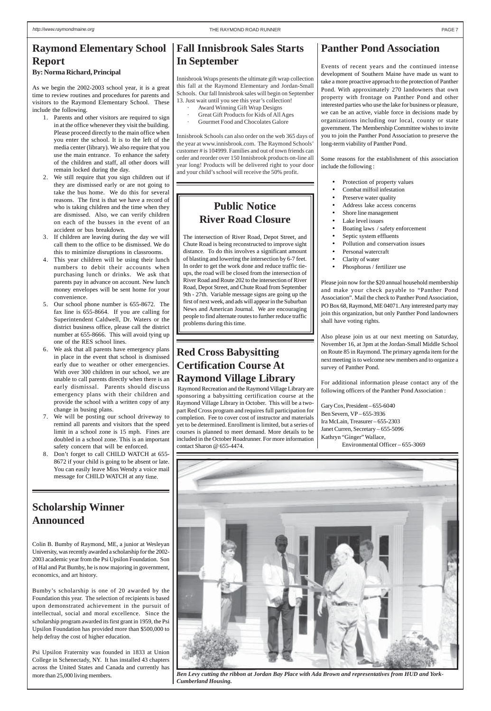### <span id="page-6-0"></span>**Raymond Elementary School Report**

**By: Norma Richard, Principal**

As we begin the 2002-2003 school year, it is a great time to review routines and procedures for parents and visitors to the Raymond Elementary School. These include the following.

- 1. Parents and other visitors are required to sign in at the office whenever they visit the building. Please proceed directly to the main office when you enter the school. It is to the left of the media center (library). We also require that you use the main entrance. To enhance the safety of the children and staff, all other doors will remain locked during the day.
- 2. We still require that you sign children out if they are dismissed early or are not going to take the bus home. We do this for several reasons. The first is that we have a record of who is taking children and the time when they are dismissed. Also, we can verify children on each of the busses in the event of an accident or bus breakdown.
- 3. If children are leaving during the day we will call them to the office to be dismissed. We do this to minimize disruptions in classrooms.
- 4. This year children will be using their lunch numbers to debit their accounts when purchasing lunch or drinks. We ask that parents pay in advance on account. New lunch money envelopes will be sent home for your convenience.
- 5. Our school phone number is 655-8672. The fax line is 655-8664. If you are calling for Superintendent Caldwell, Dr. Waters or the district business office, please call the district number at 655-8666. This will avoid tying up one of the RES school lines.
- 6. We ask that all parents have emergency plans in place in the event that school is dismissed early due to weather or other emergencies. With over 300 children in our school, we are unable to call parents directly when there is an early dismissal. Parents should discuss emergency plans with their children and provide the school with a written copy of any change in busing plans.
- 7. We will be posting our school driveway to remind all parents and visitors that the speed limit in a school zone is 15 mph. Fines are doubled in a school zone. This is an important safety concern that will be enforced.
- 8. Don't forget to call CHILD WATCH at 655- 8672 if your child is going to be absent or late. You can easily leave Miss Wendy a voice mail message for CHILD WATCH at any time.

### **Scholarship Winner Announced**

Colin B. Bumby of Raymond, ME, a junior at Wesleyan University, was recently awarded a scholarship for the 2002- 2003 academic year from the Psi Upsilon Foundation. Son of Hal and Pat Bumby, he is now majoring in government, economics, and art history.

Bumby's scholarship is one of 20 awarded by the Foundation this year. The selection of recipients is based upon demonstrated achievement in the pursuit of intellectual, social and moral excellence. Since the scholarship program awarded its first grant in 1959, the Psi Upsilon Foundation has provided more than \$500,000 to help defray the cost of higher education.

- · Award Winning Gift Wrap Designs
- · Great Gift Products for Kids of All Ages
- Gourmet Food and Chocolates Galore

Psi Upsilon Fraternity was founded in 1833 at Union College in Schenectady, NY. It has installed 43 chapters across the United States and Canada and currently has more than 25,000 living members.

### **Red Cross Babysitting Certification Course At Raymond Village Library**

 Raymond Recreation and the Raymond Village Library are sponsoring a babysitting certification course at the Raymond Village Library in October. This will be a twopart Red Cross program and requires full participation for completion. Fee to cover cost of instructor and materials yet to be determined. Enrollment is limited, but a series of courses is planned to meet demand. More details to be included in the October Roadrunner. For more information contact Sharon @ 655-4474.

### **Panther Pond Association**

Events of recent years and the continued intense development of Southern Maine have made us want to take a more proactive approach to the protection of Panther Pond. With approximately 270 landowners that own property with frontage on Panther Pond and other interested parties who use the lake for business or pleasure, we can be an active, viable force in decisions made by organizations including our local, county or state government. The Membership Committee wishes to invite you to join the Panther Pond Association to preserve the long-term viability of Panther Pond.

Some reasons for the establishment of this association include the following :

- Protection of property values
- Combat milfoil infestation
- Preserve water quality
- Address lake access concerns
- Shore line management
- Lake level issues
- Boating laws / safety enforcement
- Septic system effluents
- Pollution and conservation issues
- Personal watercraft
- Clarity of water
- Phosphorus / fertilizer use

Please join now for the \$20 annual household membership and make your check payable to "Panther Pond Association". Mail the check to Panther Pond Association, PO Box 68, Raymond, ME 04071. Any interested party may join this organization, but only Panther Pond landowners shall have voting rights.

Also please join us at our next meeting on Saturday, November 16, at 3pm at the Jordan-Small Middle School on Route 85 in Raymond. The primary agenda item for the next meeting is to welcome new members and to organize a survey of Panther Pond.

For additional information please contact any of the following officers of the Panther Pond Association :

Gary Cox, President – 655-6040 Ben Severn, VP – 655-3936 Ira McLain, Treasurer – 655-2303 Janet Curren, Secretary – 655-5096 Kathryn "Ginger" Wallace, Environmental Officer – 655-3069



*Ben Levy cutting the ribbon at Jordan Bay Place with Ada Brown and representatives from HUD and York-Cumberland Housing.*

### **Fall Innisbrook Sales Starts In September**

Innisbrook Wraps presents the ultimate gift wrap collection this fall at the Raymond Elementary and Jordan-Small Schools. Our fall Innisbrook sales will begin on September 13. Just wait until you see this year's collection!

Innisbrook Schools can also order on the web 365 days of the year at www.innisbrook.com. The Raymond Schools' customer # is 104999. Families and out of town friends can order and reorder over 150 Innisbrook products on-line all year long! Products will be delivered right to your door and your child's school will receive the 50% profit.

### **Public Notice River Road Closure**

The intersection of River Road, Depot Street, and Chute Road is being reconstructed to improve sight distance. To do this involves a significant amount of blasting and lowering the intersection by 6-7 feet. In order to get the work done and reduce traffic tieups, the road will be closed from the intersection of River Road and Route 202 to the intersection of River Road, Depot Street, and Chute Road from September 9th - 27th. Variable message signs are going up the first of next week, and ads will appear in the Suburban News and American Journal. We are encouraging people to find alternate routes to further reduce traffic problems during this time.